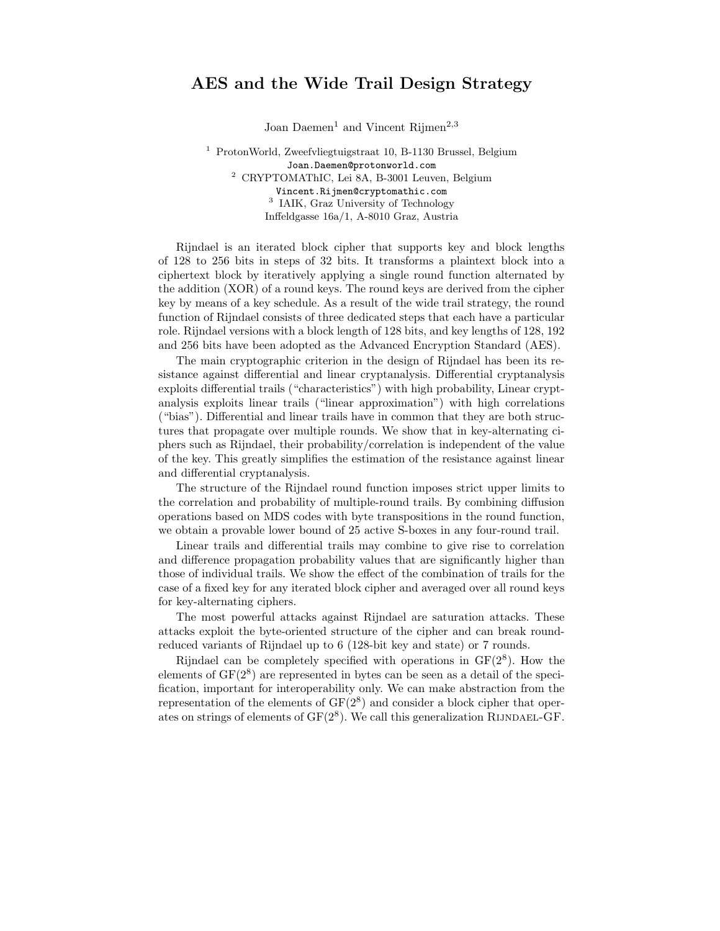## AES and the Wide Trail Design Strategy

Joan Daemen<sup>1</sup> and Vincent Rijmen<sup>2,3</sup>

<sup>1</sup> ProtonWorld, Zweefvliegtuigstraat 10, B-1130 Brussel, Belgium Joan.Daemen@protonworld.com <sup>2</sup> CRYPTOMAThIC, Lei 8A, B-3001 Leuven, Belgium Vincent.Rijmen@cryptomathic.com 3 IAIK, Graz University of Technology Inffeldgasse 16a/1, A-8010 Graz, Austria

Rijndael is an iterated block cipher that supports key and block lengths of 128 to 256 bits in steps of 32 bits. It transforms a plaintext block into a ciphertext block by iteratively applying a single round function alternated by the addition (XOR) of a round keys. The round keys are derived from the cipher key by means of a key schedule. As a result of the wide trail strategy, the round function of Rijndael consists of three dedicated steps that each have a particular role. Rijndael versions with a block length of 128 bits, and key lengths of 128, 192 and 256 bits have been adopted as the Advanced Encryption Standard (AES).

The main cryptographic criterion in the design of Rijndael has been its resistance against differential and linear cryptanalysis. Differential cryptanalysis exploits differential trails ("characteristics") with high probability, Linear cryptanalysis exploits linear trails ("linear approximation") with high correlations ("bias"). Differential and linear trails have in common that they are both structures that propagate over multiple rounds. We show that in key-alternating ciphers such as Rijndael, their probability/correlation is independent of the value of the key. This greatly simplifies the estimation of the resistance against linear and differential cryptanalysis.

The structure of the Rijndael round function imposes strict upper limits to the correlation and probability of multiple-round trails. By combining diffusion operations based on MDS codes with byte transpositions in the round function, we obtain a provable lower bound of 25 active S-boxes in any four-round trail.

Linear trails and differential trails may combine to give rise to correlation and difference propagation probability values that are significantly higher than those of individual trails. We show the effect of the combination of trails for the case of a fixed key for any iterated block cipher and averaged over all round keys for key-alternating ciphers.

The most powerful attacks against Rijndael are saturation attacks. These attacks exploit the byte-oriented structure of the cipher and can break roundreduced variants of Rijndael up to 6 (128-bit key and state) or 7 rounds.

Rijndael can be completely specified with operations in  $GF(2<sup>8</sup>)$ . How the elements of  $GF(2^8)$  are represented in bytes can be seen as a detail of the specification, important for interoperability only. We can make abstraction from the representation of the elements of  $GF(2^8)$  and consider a block cipher that operates on strings of elements of  $GF(2^8)$ . We call this generalization RIJNDAEL-GF.